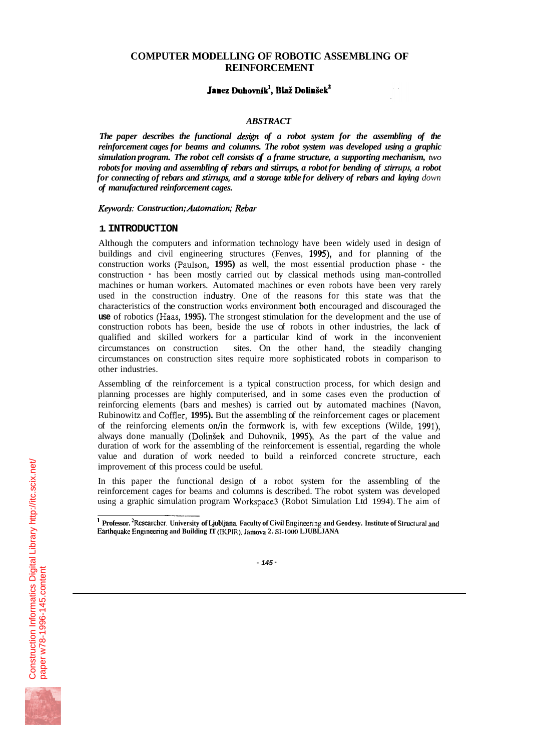## **COMPUTER MODELLING OF ROBOTIC ASSEMBLING OF REINFORCEMENT**

# **Janez Duhovnik<sup>1</sup>, Blaž Dolinšek<sup>2</sup>**

# *ABSTRACT*

The paper describes the functional design of a robot system for the assembling of the *reinforcement cages for beams and columns. The robot system was developed using a graphic simulation program. The robot cell consists of a frame structure, a supporting mechanism, two*  robots for moving and assembling of rebars and stirrups, a robot for bending of stirrups, a robot *for connecting of rebars and stirrups, and a storage table for delivery of rebars and laying down of manufactured reinforcement cages.* 

*Keywords.- Construction; Automation; Rebar* 

#### **1. INTRODUCTION**

Although the computers and information technology have been widely used in design of buildings and civil engineering structures (Fenves, **1995),** and for planning of the construction works (Paulson, **1995)** as well, the most essential production phase - the construction - has been mostly carried out by classical methods using man-controlled machines or human workers. Automated machines or even robots have been very rarely used in the construction industry. One of the reasons for this state was that the characteristics of the construction works environment bofh encouraged and discouraged the **use** of robotics (Haas, **1995).** The strongest stimulation for the development and the use of construction robots has been, beside the use of robots in other industries, the lack of qualified and skilled workers for a particular kind of work in the inconvenient circumstances on construction sites. On the other hand, the steadily changing circumstances on construction sites require more sophisticated robots in comparison to other industries.

Assembling of the reinforcement is a typical construction process, for which design and planning processes are highly computerised, and in some cases even the production of reinforcing elements (bars and meshes) is carried out by automated machines (Navon, Rubinowitz and Coffler, **1995).** But the assembling of the reinforcement cages or placement of the reinforcing elements on/in the formwork is, with few exceptions (Wilde, 1991), always done manually (DolinSek and Duhovnik, **1995).** As the part of the value and duration of work for the assembling of the reinforcement is essential, regarding the whole value and duration of work needed to build a reinforced concrete structure, each improvement of this process could be useful.

In this paper the functional design of a robot system for the assembling of the reinforcement cages for beams and columns is described. The robot system was developed using a graphic simulation program Workspace3 (Robot Simulation Ltd 1994). The aim of  $\frac{1}{2}$ 



<sup>&</sup>lt;sup>1</sup> **Professor.** 'Researcher. University of Ljubljana, Faculty of Civil Engineering and Geodesy. Institute of Structural and Earthquake Engineering and Building IT (IKPIR). Jamova 2. SI-1000 LJUBLJANA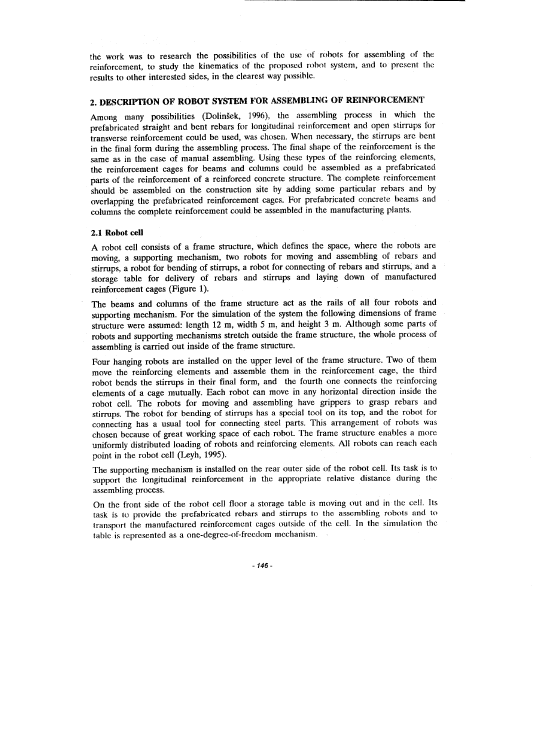the work was to research the possibilities of the use of robots for assembling of the reinforcement, to study the kinematics of the proposed robot system, and to present the results to other interested sides, in the clearest way possible.

# 2. DESCRIPTION OF ROBOT SYSTEM FOR ASSEMBLING OF REINFORCEMENT

Among many possibilities (Dolinšek, 1996), the assembling process in which the prefabricated straight and bent rebars for longitudinal reinforcement and open stirrups for transverse reinforcement could be used, was chosen. When necessary, the stirrups are bent in the final form during the assembling process. The final shape of the reinforcement is the same as in the case of manual assembling. Using these types of the reinforcing elements, the reinforcement cages for beams and columns could be assembled as a prefabricated parts of the reinforcement of a reinforced concrete structure. The complete reinforcement should be assembled on the construction site by adding some particular rebars and by overlapping the prefabricated reinforcement cages. For prefabricated concrete beams and columns the complete reinforcement could be assembled in the manufacturing plants.

#### 2.1 Robot cell

A robot cell consists of a frame structure, which defines the space, where the robots are moving, a supporting mechanism, two robots for moving and assembling of rebars and stirrups, a robot for bending of stirrups, a robot for connecting of rebars and stirrups, and a storage table for delivery of rebars and stirrups and laying down of manufactured reinforcement cages (Figure 1).

The beams and columns of the frame structure act as the rails of all four robots and supporting mechanism. For the simulation of the system the following dimensions of frame structure were assumed: length 12 m, width 5 m, and height 3 m. Although some parts of robots and supporting mechanisms stretch outside the frame structure, the whole process of assembling is carried out inside of the frame structure.

Four hanging robots are installed on the upper level of the frame structure. Two of them move the reinforcing elements and assemble them in the reinforcement cage, the third robot bends the stirrups in their final form, and the fourth one connects the reinforcing elements of a cage mutually. Each robot can move in any horizontal direction inside the robot cell. The robots for moving and assembling have grippers to grasp rebars and stirrups. The robot for bending of stirrups has a special tool on its top, and the robot for connecting has a usual tool for connecting steel parts. This arrangement of robots was chosen because of great working space of each robot. The frame structure enables a more uniformly distributed loading of robots and reinforcing elements. All robots can reach each point in the robot cell (Leyh, 1995).

The supporting mechanism is installed on the rear outer side of the robot cell. Its task is to support the longitudinal reinforcement in the appropriate relative distance during the assembling process.

On the front side of the robot cell floor a storage table is moving out and in the cell. Its task is to provide the prefabricated rebars and stirrups to the assembling robots and to transport the manufactured reinforcement cages outside of the cell. In the simulation the table is represented as a one-degree-of-freedom mechanism.

 $-146-$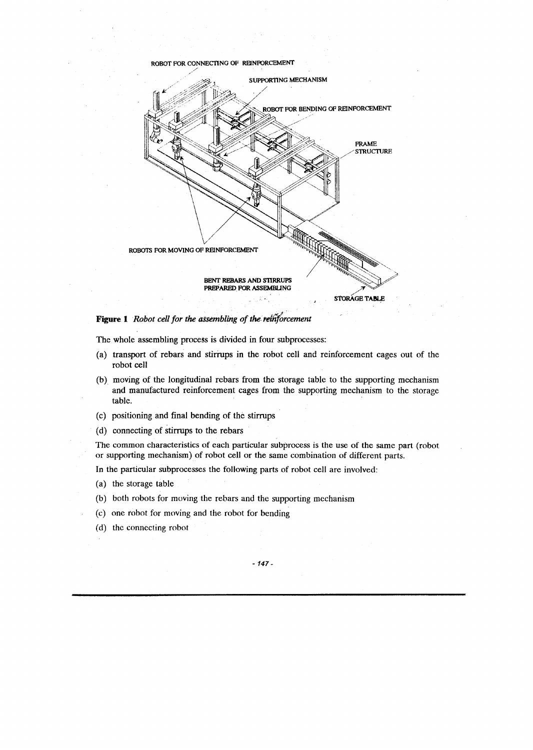

Figure 1 Robot cell for the assembling of the reinforcement

The whole assembling process is divided in four subprocesses:

- (a) transport of rebars and stirrups in the robot cell and reinforcement cages out of the robot cell
- (b) moving of the longitudinal rebars from the storage table to the supporting mechanism and manufactured reinforcement cages from the supporting mechanism to the storage table.
- (c) positioning and final bending of the stirrups
- (d) connecting of stirrups to the rebars

The common characteristics of each particular subprocess is the use of the same part (robot or supporting mechanism) of robot cell or the same combination of different parts.

In the particular subprocesses the following parts of robot cell are involved:

- (a) the storage table
- (b) both robots for moving the rebars and the supporting mechanism
- (c) one robot for moving and the robot for bending
- (d) the connecting robot

 $-147-$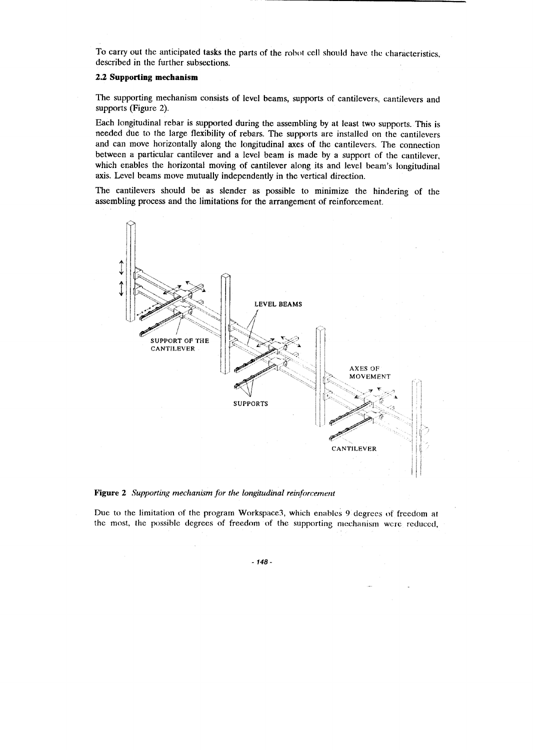To carry out the anticipated tasks the parts of the robot cell should have the characteristics, described in the further subsections.

## 2.2 Supporting mechanism

The supporting mechanism consists of level beams, supports of cantilevers, cantilevers and supports (Figure 2).

Each longitudinal rebar is supported during the assembling by at least two supports. This is needed due to the large flexibility of rebars. The supports are installed on the cantilevers and can move horizontally along the longitudinal axes of the cantilevers. The connection between a particular cantilever and a level beam is made by a support of the cantilever, which enables the horizontal moving of cantilever along its and level beam's longitudinal axis. Level beams move mutually independently in the vertical direction.

The cantilevers should be as slender as possible to minimize the hindering of the assembling process and the limitations for the arrangement of reinforcement.



Figure 2 Supporting mechanism for the longitudinal reinforcement

Due to the limitation of the program Workspace3, which enables 9 degrees of freedom at the most, the possible degrees of freedom of the supporting mechanism were reduced,

 $-148-$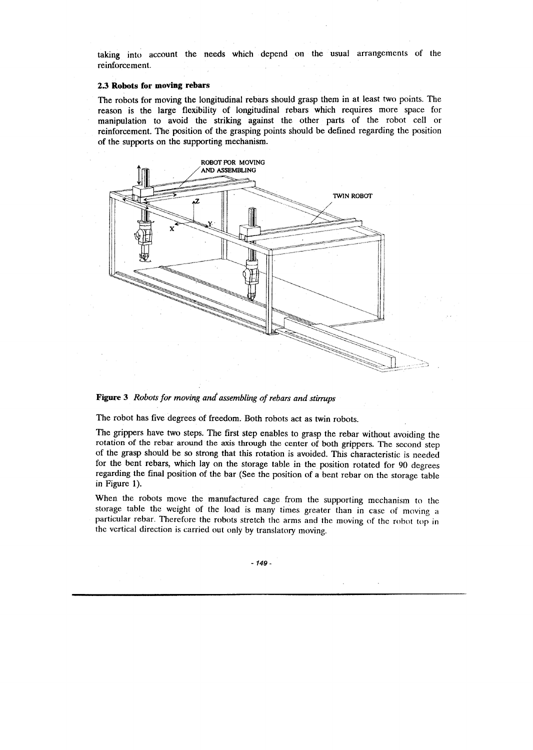taking into account the needs which depend on the usual arrangements of the reinforcement.

## 2.3 Robots for moving rebars

The robots for moving the longitudinal rebars should grasp them in at least two points. The reason is the large flexibility of longitudinal rebars which requires more space for manipulation to avoid the striking against the other parts of the robot cell or reinforcement. The position of the grasping points should be defined regarding the position of the supports on the supporting mechanism.



Figure 3 Robots for moving and assembling of rebars and stirrups

The robot has five degrees of freedom. Both robots act as twin robots.

The grippers have two steps. The first step enables to grasp the rebar without avoiding the rotation of the rebar around the axis through the center of both grippers. The second step of the grasp should be so strong that this rotation is avoided. This characteristic is needed for the bent rebars, which lay on the storage table in the position rotated for 90 degrees regarding the final position of the bar (See the position of a bent rebar on the storage table in Figure 1).

When the robots move the manufactured cage from the supporting mechanism to the storage table the weight of the load is many times greater than in case of moving a particular rebar. Therefore the robots stretch the arms and the moving of the robot top in the vertical direction is carried out only by translatory moving.

 $-149-$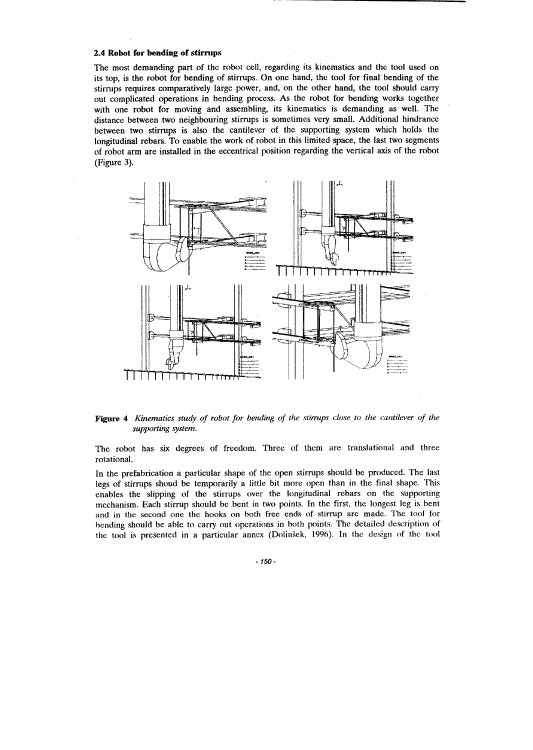#### 2.4 Robot for bending of stirrups

The most demanding part of the robot cell, regarding its kinematics and the tool used on its top, is the robot for bending of stirrups. On one hand, the tool for final bending of the stirrups requires comparatively large power, and, on the other hand, the tool should carry out complicated operations in bending process. As the robot for bending works together with one robot for moving and assembling, its kinematics is demanding as well. The distance between two neighbouring stirrups is sometimes very small. Additional hindrance between two stirrups is also the cantilever of the supporting system which holds the longitudinal rebars. To enable the work of robot in this limited space, the last two segments of robot arm are installed in the eccentrical position regarding the vertical axis of the robot (Figure 3).



Figure 4 Kinematics study of robot for bending of the stirrups close to the cantilever of the supporting system.

The robot has six degrees of freedom. Three of them are translational and three rotational.

In the prefabrication a particular shape of the open stirrups should be produced. The last legs of stirrups shoud be temporarily a little bit more open than in the final shape. This enables the slipping of the stirrups over the longitudinal rebars on the supporting mechanism. Each stirrup should be bent in two points. In the first, the longest leg is bent and in the second one the hooks on both free ends of stirrup are made. The tool for bending should be able to carry out operations in both points. The detailed description of the tool is presented in a particular annex (Dolinšek, 1996). In the design of the tool

 $-150-$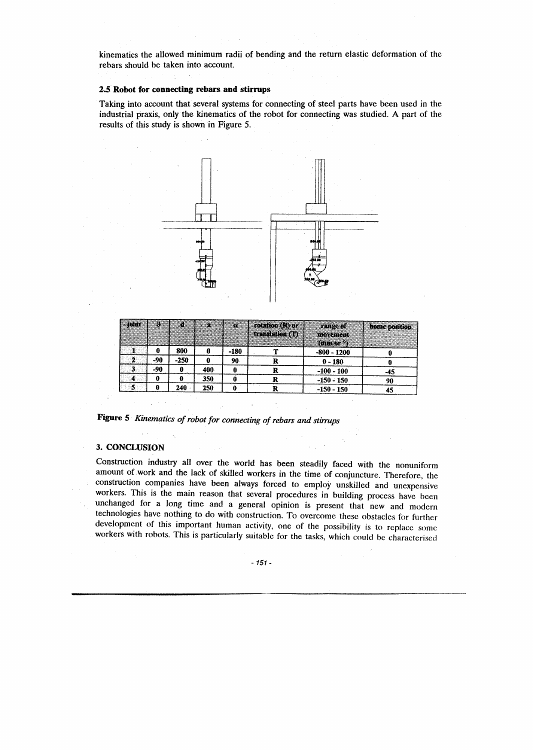kinematics the allowed minimum radii of bending and the return elastic deformation of the rebars should be taken into account.

#### 2.5 Robot for connecting rebars and stirrups

Taking into account that several systems for connecting of steel parts have been used in the industrial praxis, only the kinematics of the robot for connecting was studied. A part of the results of this study is shown in Figure 5.



| <b>Johnt</b> | Э.  | Æ      | æ   | X.   | rotaten (R) er<br>translation (1) | <b>TARGET</b><br>maxerient             | <b>MADE DOMINON</b> |
|--------------|-----|--------|-----|------|-----------------------------------|----------------------------------------|---------------------|
|              | 0   | 800    | 0   | -180 | ,,,                               | (mm or <sup>o</sup> )<br>$-800 - 1200$ |                     |
| 2            | -90 | $-250$ | 0   | 90   |                                   | $0 - 180$                              |                     |
| 3.           | -90 | 0      | 400 |      |                                   | $-100 - 100$                           | -45                 |
|              | 0   | Ð      | 350 |      |                                   | $-150 - 150$                           | 90                  |
|              | 0   | 240    | 250 |      |                                   | $-150 - 150$                           | 45                  |

Figure 5 Kinematics of robot for connecting of rebars and stirrups

## 3. CONCLUSION

Construction industry all over the world has been steadily faced with the nonuniform amount of work and the lack of skilled workers in the time of conjuncture. Therefore, the construction companies have been always forced to employ unskilled and unexpensive workers. This is the main reason that several procedures in building process have been unchanged for a long time and a general opinion is present that new and modern technologies have nothing to do with construction. To overcome these obstacles for further development of this important human activity, one of the possibility is to replace some workers with robots. This is particularly suitable for the tasks, which could be characterised

 $-151-$